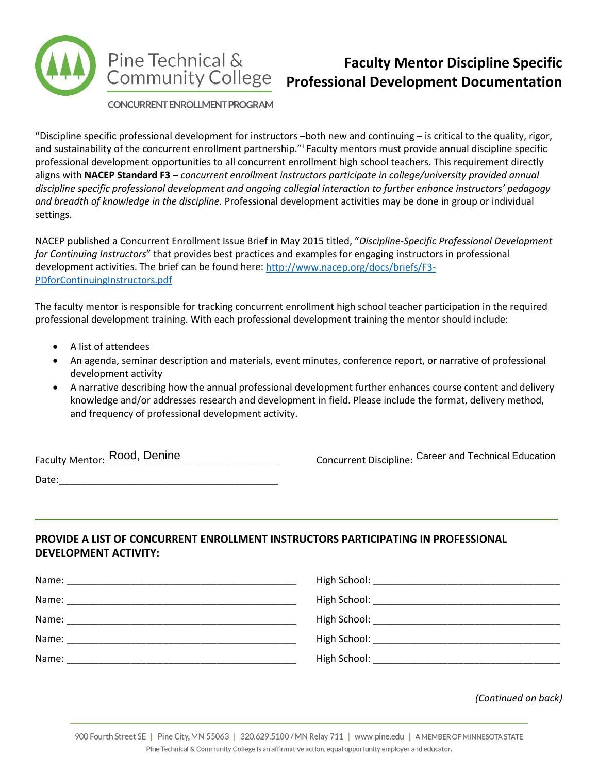

## **Faculty Mentor Discipline Specific Professional Development Documentation**

CONCURRENT ENROLL MENT PROGRAM

"Discipline specific professional development for instructors  $-$ both new and continuing  $-$  is critical to the quality, rigor, and susta[i](#page-1-0)nability of the concurrent enrollment partnership." Faculty mentors must provide annual discipline specific professional development opportunities to all concurrent enrollment high school teachers. This requirement directly aligns with **NACEP Standard F3** – *concurrent enrollment instructors participate in college/university provided annual discipline specific professional development and ongoing collegial interaction to further enhance instructors' pedagogy and breadth of knowledge in the discipline.* Professional development activities may be done in group or individual settings.

NACEP published a Concurrent Enrollment Issue Brief in May 2015 titled, "*Discipline-Specific Professional Development for Continuing Instructors*" that provides best practices and examples for engaging instructors in professional development activities. The brief can be found here: [http://www.nacep.org/docs/briefs/F3-](http://www.nacep.org/docs/briefs/F3-PDforContinuingInstructors.pdf) [PDforContinuingInstructors.pdf](http://www.nacep.org/docs/briefs/F3-PDforContinuingInstructors.pdf)

The faculty mentor is responsible for tracking concurrent enrollment high school teacher participation in the required professional development training. With each professional development training the mentor should include:

- A list of attendees
- An agenda, seminar description and materials, event minutes, conference report, or narrative of professional development activity
- A narrative describing how the annual professional development further enhances course content and delivery knowledge and/or addresses research and development in field. Please include the format, delivery method, and frequency of professional development activity.

Date:\_\_\_\_\_\_\_\_\_\_\_\_\_\_\_\_\_\_\_\_\_\_\_\_\_\_\_\_\_\_\_\_\_\_\_\_\_\_\_\_\_

Faculty Mentor: <u>Rood, Denine</u> Concurrent Discipline: Career and Technical Education

## **PROVIDE A LIST OF CONCURRENT ENROLLMENT INSTRUCTORS PARTICIPATING IN PROFESSIONAL DEVELOPMENT ACTIVITY:**

| Name:                                                              |                                                                                                                                                                                                                                |
|--------------------------------------------------------------------|--------------------------------------------------------------------------------------------------------------------------------------------------------------------------------------------------------------------------------|
| Name:<br><u> 1980 - Jan Berlin, Amerikaansk politiker († 1908)</u> |                                                                                                                                                                                                                                |
| Name:                                                              |                                                                                                                                                                                                                                |
| Name:                                                              |                                                                                                                                                                                                                                |
| Name:                                                              | High School: The Contract of the Contract of the Contract of the Contract of the Contract of the Contract of the Contract of the Contract of the Contract of the Contract of the Contract of the Contract of the Contract of t |

*(Continued on back)*